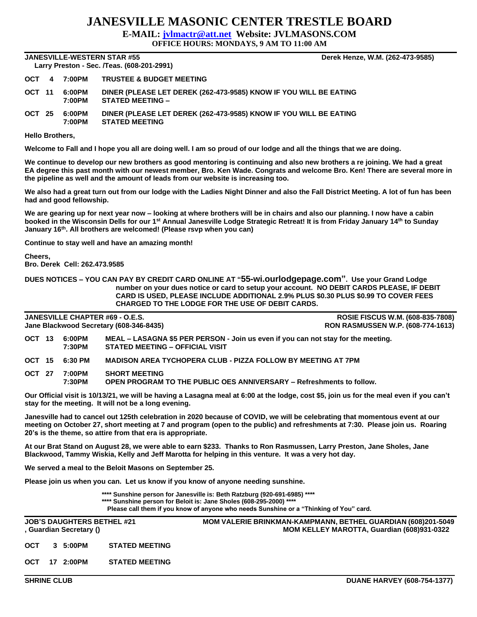## **JANESVILLE MASONIC CENTER TRESTLE BOARD**

**E-MAIL: [jvlmactr@att.net](mailto:jvlmactr@att.net) Website: JVLMASONS.COM**

**OFFICE HOURS: MONDAYS, 9 AM TO 11:00 AM**

**JANESVILLE-WESTERN STAR #55 Derek Henze, W.M. (262-473-9585) Larry Preston - Sec. /Teas. (608-201-2991)** 

|        | <b>Lally Pieston - Sec. / Ieas. (600-201-2991)</b> |                  |                                                                                              |  |  |  |  |  |  |
|--------|----------------------------------------------------|------------------|----------------------------------------------------------------------------------------------|--|--|--|--|--|--|
|        |                                                    | OCT 4 7:00PM     | <b>TRUSTEE &amp; BUDGET MEETING</b>                                                          |  |  |  |  |  |  |
| OCT 11 |                                                    | 6:00PM<br>7:00PM | DINER (PLEASE LET DEREK (262-473-9585) KNOW IF YOU WILL BE EATING<br><b>STATED MEETING -</b> |  |  |  |  |  |  |
| OCT 25 |                                                    | 6:00PM<br>7:00PM | DINER (PLEASE LET DEREK (262-473-9585) KNOW IF YOU WILL BE EATING<br><b>STATED MEETING</b>   |  |  |  |  |  |  |

**Hello Brothers,**

**Welcome to Fall and I hope you all are doing well. I am so proud of our lodge and all the things that we are doing.**

**We continue to develop our new brothers as good mentoring is continuing and also new brothers a re joining. We had a great EA degree this past month with our newest member, Bro. Ken Wade. Congrats and welcome Bro. Ken! There are several more in the pipeline as well and the amount of leads from our website is increasing too.**

**We also had a great turn out from our lodge with the Ladies Night Dinner and also the Fall District Meeting. A lot of fun has been had and good fellowship.**

**We are gearing up for next year now – looking at where brothers will be in chairs and also our planning. I now have a cabin booked in the Wisconsin Dells for our 1st Annual Janesville Lodge Strategic Retreat! It is from Friday January 14th to Sunday January 16th. All brothers are welcomed! (Please rsvp when you can)**

**Continue to stay well and have an amazing month!**

**Cheers,**

**Bro. Derek Cell: 262.473.9585**

**DUES NOTICES – YOU CAN PAY BY CREDIT CARD ONLINE AT "55-wi.ourlodgepage.com". Use your Grand Lodge number on your dues notice or card to setup your account. NO DEBIT CARDS PLEASE, IF DEBIT CARD IS USED, PLEASE INCLUDE ADDITIONAL 2.9% PLUS \$0.30 PLUS \$0.99 TO COVER FEES CHARGED TO THE LODGE FOR THE USE OF DEBIT CARDS.**

**JANESVILLE CHAPTER #69 - O.E.S. ROSIE FISCUS W.M. (608-835-7808) Jane Blackwood Secretary (608-346-8435) RON RASMUSSEN W.P. (608-774-1613) OCT 13 6:00PM MEAL – LASAGNA \$5 PER PERSON - Join us even if you can not stay for the meeting. 7:30PM STATED MEETING – OFFICIAL VISIT OCT 15 6:30 PM MADISON AREA TYCHOPERA CLUB - PIZZA FOLLOW BY MEETING AT 7PM OCT 27 7:00PM SHORT MEETING 7:30PM OPEN PROGRAM TO THE PUBLIC OES ANNIVERSARY – Refreshments to follow.**

**Our Official visit is 10/13/21, we will be having a Lasagna meal at 6:00 at the lodge, cost \$5, join us for the meal even if you can't stay for the meeting. It will not be a long evening.**

**Janesville had to cancel out 125th celebration in 2020 because of COVID, we will be celebrating that momentous event at our meeting on October 27, short meeting at 7 and program (open to the public) and refreshments at 7:30. Please join us. Roaring 20's is the theme, so attire from that era is appropriate.** 

**At our Brat Stand on August 28, we were able to earn \$233. Thanks to Ron Rasmussen, Larry Preston, Jane Sholes, Jane Blackwood, Tammy Wiskia, Kelly and Jeff Marotta for helping in this venture. It was a very hot day.**

**We served a meal to the Beloit Masons on September 25.**

**Please join us when you can. Let us know if you know of anyone needing sunshine.**

**\*\*\*\* Sunshine person for Janesville is: Beth Ratzburg (920-691-6985) \*\*\*\* \*\*\*\* Sunshine person for Beloit is: Jane Sholes (608-295-2000) \*\*\*\* Please call them if you know of anyone who needs Sunshine or a "Thinking of You" card.**

|            |   | <b>JOB'S DAUGHTERS BETHEL #21</b><br>, Guardian Secretary () |                       | <b>MOM VALERIE BRINKMAN-KAMPMANN, BETHEL GUARDIAN (608)201-5049</b><br>MOM KELLEY MAROTTA, Guardian (608)931-0322 |
|------------|---|--------------------------------------------------------------|-----------------------|-------------------------------------------------------------------------------------------------------------------|
| OCT        | 3 | 5:00PM                                                       | <b>STATED MEETING</b> |                                                                                                                   |
| <b>OCT</b> |   | 17 2:00PM                                                    | <b>STATED MEETING</b> |                                                                                                                   |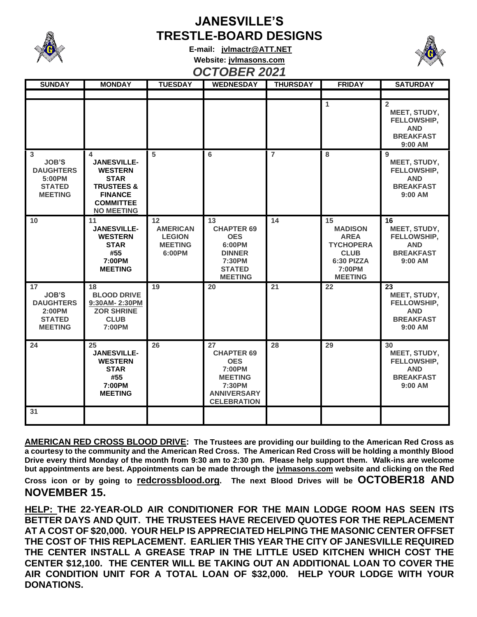

## **JANESVILLE'S TRESTLE-BOARD DESIGNS**

**E-mail: [jvlmactr@ATT.NET](mailto:jvlmactr@ATT.NET) Website: jvlmasons.com** *OCTOBER 2021*



| <b>SUNDAY</b>                                                                       | <b>MONDAY</b>                                                                                                                                | <b>TUESDAY</b>                                                     | <b>WEDNESDAY</b>                                                                                                        | <b>THURSDAY</b> | <b>FRIDAY</b>                                                                                                    | <b>SATURDAY</b>                                                                            |
|-------------------------------------------------------------------------------------|----------------------------------------------------------------------------------------------------------------------------------------------|--------------------------------------------------------------------|-------------------------------------------------------------------------------------------------------------------------|-----------------|------------------------------------------------------------------------------------------------------------------|--------------------------------------------------------------------------------------------|
|                                                                                     |                                                                                                                                              |                                                                    |                                                                                                                         |                 |                                                                                                                  |                                                                                            |
|                                                                                     |                                                                                                                                              |                                                                    |                                                                                                                         |                 | 1                                                                                                                | $\overline{2}$<br>MEET, STUDY,<br>FELLOWSHIP,<br><b>AND</b><br><b>BREAKFAST</b><br>9:00 AM |
| 3<br><b>JOB'S</b><br><b>DAUGHTERS</b><br>5:00PM<br><b>STATED</b><br><b>MEETING</b>  | 4<br><b>JANESVILLE-</b><br><b>WESTERN</b><br><b>STAR</b><br><b>TRUSTEES &amp;</b><br><b>FINANCE</b><br><b>COMMITTEE</b><br><b>NO MEETING</b> | 5                                                                  | 6                                                                                                                       | $\overline{7}$  | 8                                                                                                                | 9<br>MEET, STUDY,<br>FELLOWSHIP,<br><b>AND</b><br><b>BREAKFAST</b><br>$9:00$ AM            |
| 10                                                                                  | 11<br><b>JANESVILLE-</b><br><b>WESTERN</b><br><b>STAR</b><br>#55<br>7:00PM<br><b>MEETING</b>                                                 | 12<br><b>AMERICAN</b><br><b>LEGION</b><br><b>MEETING</b><br>6:00PM | 13<br><b>CHAPTER 69</b><br><b>OES</b><br>6:00PM<br><b>DINNER</b><br>7:30PM<br><b>STATED</b><br><b>MEETING</b>           | 14              | 15<br><b>MADISON</b><br><b>AREA</b><br><b>TYCHOPERA</b><br><b>CLUB</b><br>6:30 PIZZA<br>7:00PM<br><b>MEETING</b> | 16<br>MEET, STUDY,<br>FELLOWSHIP,<br><b>AND</b><br><b>BREAKFAST</b><br>9:00 AM             |
| 17<br><b>JOB'S</b><br><b>DAUGHTERS</b><br>2:00PM<br><b>STATED</b><br><b>MEETING</b> | 18<br><b>BLOOD DRIVE</b><br>9:30AM-2:30PM<br><b>ZOR SHRINE</b><br><b>CLUB</b><br>7:00PM                                                      | 19                                                                 | 20                                                                                                                      | $\overline{21}$ | 22                                                                                                               | 23<br>MEET, STUDY,<br>FELLOWSHIP,<br><b>AND</b><br><b>BREAKFAST</b><br>$9:00$ AM           |
| 24                                                                                  | 25<br><b>JANESVILLE-</b><br><b>WESTERN</b><br><b>STAR</b><br>#55<br>7:00PM<br><b>MEETING</b>                                                 | 26                                                                 | 27<br><b>CHAPTER 69</b><br><b>OES</b><br>7:00PM<br><b>MEETING</b><br>7:30PM<br><b>ANNIVERSARY</b><br><b>CELEBRATION</b> | 28              | 29                                                                                                               | 30<br>MEET, STUDY,<br>FELLOWSHIP,<br><b>AND</b><br><b>BREAKFAST</b><br>9:00 AM             |
| 31                                                                                  |                                                                                                                                              |                                                                    |                                                                                                                         |                 |                                                                                                                  |                                                                                            |

**AMERICAN RED CROSS BLOOD DRIVE: The Trustees are providing our building to the American Red Cross as a courtesy to the community and the American Red Cross. The American Red Cross will be holding a monthly Blood Drive every third Monday of the month from 9:30 am to 2:30 pm. Please help support them. Walk-ins are welcome but appointments are best. Appointments can be made through the jvlmasons.com website and clicking on the Red** 

**Cross icon or by going to redcrossblood.org. The next Blood Drives will be OCTOBER18 AND NOVEMBER 15.** 

**HELP: THE 22-YEAR-OLD AIR CONDITIONER FOR THE MAIN LODGE ROOM HAS SEEN ITS BETTER DAYS AND QUIT. THE TRUSTEES HAVE RECEIVED QUOTES FOR THE REPLACEMENT AT A COST OF \$20,000. YOUR HELP IS APPRECIATED HELPING THE MASONIC CENTER OFFSET THE COST OF THIS REPLACEMENT. EARLIER THIS YEAR THE CITY OF JANESVILLE REQUIRED THE CENTER INSTALL A GREASE TRAP IN THE LITTLE USED KITCHEN WHICH COST THE CENTER \$12,100. THE CENTER WILL BE TAKING OUT AN ADDITIONAL LOAN TO COVER THE AIR CONDITION UNIT FOR A TOTAL LOAN OF \$32,000. HELP YOUR LODGE WITH YOUR DONATIONS.**